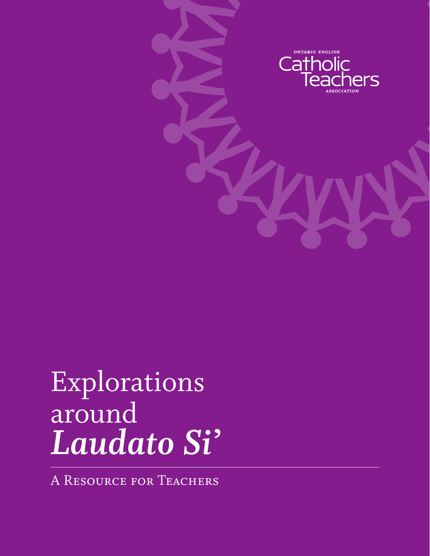

## Explorations around *Laudato Si'*

A Resource for Teachers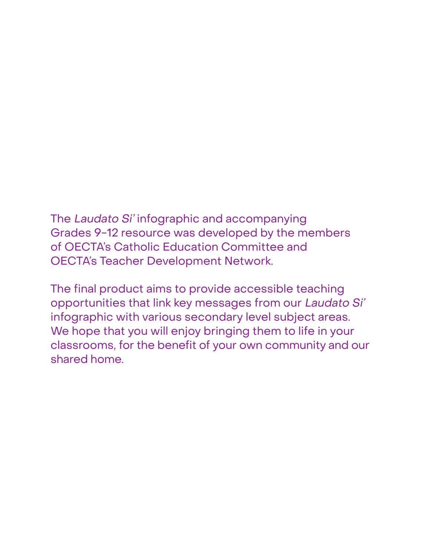The Laudato Si' infographic and accompanying Grades 9-12 resource was developed by the members of OECTA's Catholic Education Committee and OECTA's Teacher Development Network.

The final product aims to provide accessible teaching opportunities that link key messages from our Laudato Si' infographic with various secondary level subject areas. We hope that you will enjoy bringing them to life in your classrooms, for the benefit of your own community and our shared home.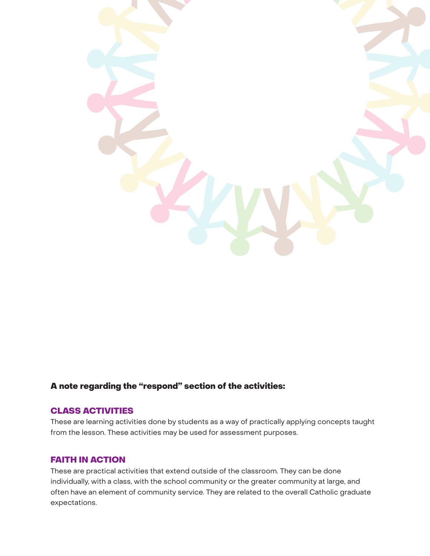

### A note regarding the "respond" section of the activities:

#### CLASS ACTIVITIES

These are learning activities done by students as a way of practically applying concepts taught from the lesson. These activities may be used for assessment purposes.

#### FAITH IN ACTION

These are practical activities that extend outside of the classroom. They can be done individually, with a class, with the school community or the greater community at large, and often have an element of community service. They are related to the overall Catholic graduate expectations.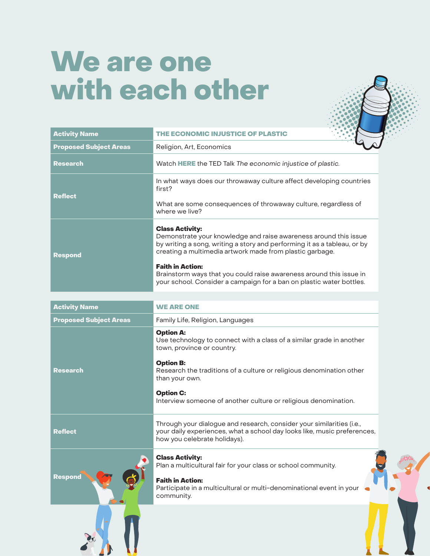### We are one with each other



| <b>Activity Name</b>          | THE ECONOMIC INJUSTICE OF PLASTIC                                                                                                                                                                                                                                                                                                                                                                            |
|-------------------------------|--------------------------------------------------------------------------------------------------------------------------------------------------------------------------------------------------------------------------------------------------------------------------------------------------------------------------------------------------------------------------------------------------------------|
| <b>Proposed Subject Areas</b> | Religion, Art, Economics                                                                                                                                                                                                                                                                                                                                                                                     |
| <b>Research</b>               | Watch HERE the TED Talk The economic injustice of plastic.                                                                                                                                                                                                                                                                                                                                                   |
| <b>Reflect</b>                | In what ways does our throwaway culture affect developing countries<br>first?<br>What are some consequences of throwaway culture, regardless of<br>where we live?                                                                                                                                                                                                                                            |
| <b>Respond</b>                | <b>Class Activity:</b><br>Demonstrate your knowledge and raise awareness around this issue<br>by writing a song, writing a story and performing it as a tableau, or by<br>creating a multimedia artwork made from plastic garbage.<br><b>Faith in Action:</b><br>Brainstorm ways that you could raise awareness around this issue in<br>your school. Consider a campaign for a ban on plastic water bottles. |

| <b>Activity Name</b>          | <b>WE ARE ONE</b>                                                                                                                                                                 |
|-------------------------------|-----------------------------------------------------------------------------------------------------------------------------------------------------------------------------------|
| <b>Proposed Subject Areas</b> | Family Life, Religion, Languages                                                                                                                                                  |
|                               | <b>Option A:</b><br>Use technology to connect with a class of a similar grade in another<br>town, province or country.                                                            |
| <b>Research</b>               | <b>Option B:</b><br>Research the traditions of a culture or religious denomination other<br>than your own.                                                                        |
|                               | <b>Option C:</b><br>Interview someone of another culture or religious denomination.                                                                                               |
| <b>Reflect</b>                | Through your dialogue and research, consider your similarities (i.e.,<br>your daily experiences, what a school day looks like, music preferences,<br>how you celebrate holidays). |
|                               | <b>Class Activity:</b><br>Plan a multicultural fair for your class or school community.                                                                                           |
| <b>Respond</b>                | <b>Faith in Action:</b><br>Participate in a multicultural or multi-denominational event in your<br>community.                                                                     |
|                               |                                                                                                                                                                                   |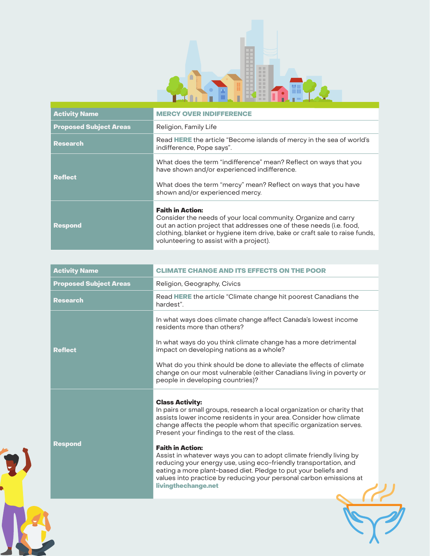

| <b>Activity Name</b>          | <b>MERCY OVER INDIFFERENCE</b>                                                                                                                                                                                                                                                             |
|-------------------------------|--------------------------------------------------------------------------------------------------------------------------------------------------------------------------------------------------------------------------------------------------------------------------------------------|
| <b>Proposed Subject Areas</b> | Religion, Family Life                                                                                                                                                                                                                                                                      |
| <b>Research</b>               | Read HERE the article "Become islands of mercy in the sea of world's<br>indifference, Pope says".                                                                                                                                                                                          |
| <b>Reflect</b>                | What does the term "indifference" mean? Reflect on ways that you<br>have shown and/or experienced indifference.<br>What does the term "mercy" mean? Reflect on ways that you have<br>shown and/or experienced mercy.                                                                       |
| <b>Respond</b>                | <b>Faith in Action:</b><br>Consider the needs of your local community. Organize and carry<br>out an action project that addresses one of these needs (i.e. food,<br>clothing, blanket or hygiene item drive, bake or craft sale to raise funds,<br>volunteering to assist with a project). |

| <b>Activity Name</b>          | <b>CLIMATE CHANGE AND ITS EFFECTS ON THE POOR</b>                                                                                                                                                                                                                                                                                                                                                                                                                                                                                                                                                                                   |
|-------------------------------|-------------------------------------------------------------------------------------------------------------------------------------------------------------------------------------------------------------------------------------------------------------------------------------------------------------------------------------------------------------------------------------------------------------------------------------------------------------------------------------------------------------------------------------------------------------------------------------------------------------------------------------|
| <b>Proposed Subject Areas</b> | Religion, Geography, Civics                                                                                                                                                                                                                                                                                                                                                                                                                                                                                                                                                                                                         |
| <b>Research</b>               | Read HERE the article "Climate change hit poorest Canadians the<br>hardest".                                                                                                                                                                                                                                                                                                                                                                                                                                                                                                                                                        |
| <b>Reflect</b>                | In what ways does climate change affect Canada's lowest income<br>residents more than others?<br>In what ways do you think climate change has a more detrimental<br>impact on developing nations as a whole?<br>What do you think should be done to alleviate the effects of climate<br>change on our most vulnerable (either Canadians living in poverty or<br>people in developing countries)?                                                                                                                                                                                                                                    |
| <b>Respond</b>                | <b>Class Activity:</b><br>In pairs or small groups, research a local organization or charity that<br>assists lower income residents in your area. Consider how climate<br>change affects the people whom that specific organization serves.<br>Present your findings to the rest of the class.<br><b>Faith in Action:</b><br>Assist in whatever ways you can to adopt climate friendly living by<br>reducing your energy use, using eco-friendly transportation, and<br>eating a more plant-based diet. Pledge to put your beliefs and<br>values into practice by reducing your personal carbon emissions at<br>livingthechange.net |

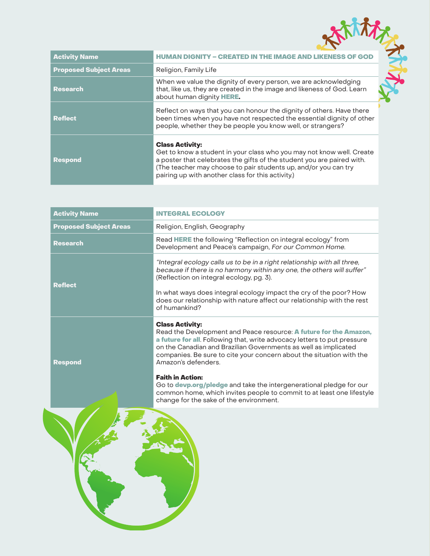| <b>Activity Name</b>          | <b>HUMAN DIGNITY – CREATED IN THE IMAGE AND LIKENESS OF GOD</b>                                                                                                                                                                                                                                   |  |
|-------------------------------|---------------------------------------------------------------------------------------------------------------------------------------------------------------------------------------------------------------------------------------------------------------------------------------------------|--|
| <b>Proposed Subject Areas</b> | Religion, Family Life                                                                                                                                                                                                                                                                             |  |
| Research                      | When we value the dignity of every person, we are acknowledging<br>that, like us, they are created in the image and likeness of God. Learn<br>about human dignity HERE.                                                                                                                           |  |
| <b>Reflect</b>                | Reflect on ways that you can honour the dignity of others. Have there<br>been times when you have not respected the essential dignity of other<br>people, whether they be people you know well, or strangers?                                                                                     |  |
| Respond                       | <b>Class Activity:</b><br>Get to know a student in your class who you may not know well. Create<br>a poster that celebrates the gifts of the student you are paired with.<br>(The teacher may choose to pair students up, and/or you can try<br>pairing up with another class for this activity.) |  |

| <b>Activity Name</b>          | <b>INTEGRAL ECOLOGY</b>                                                                                                                                                                                                                                                                                                                                              |
|-------------------------------|----------------------------------------------------------------------------------------------------------------------------------------------------------------------------------------------------------------------------------------------------------------------------------------------------------------------------------------------------------------------|
| <b>Proposed Subject Areas</b> | Religion, English, Geography                                                                                                                                                                                                                                                                                                                                         |
| <b>Research</b>               | Read HERE the following "Reflection on integral ecology" from<br>Development and Peace's campaign, For our Common Home.                                                                                                                                                                                                                                              |
| <b>Reflect</b>                | "Integral ecology calls us to be in a right relationship with all three,<br>because if there is no harmony within any one, the others will suffer"<br>(Reflection on integral ecology, pg. 3).<br>In what ways does integral ecology impact the cry of the poor? How<br>does our relationship with nature affect our relationship with the rest<br>of humankind?     |
| <b>Respond</b>                | <b>Class Activity:</b><br>Read the Development and Peace resource: A future for the Amazon,<br>a future for all. Following that, write advocacy letters to put pressure<br>on the Canadian and Brazilian Governments as well as implicated<br>companies. Be sure to cite your concern about the situation with the<br>Amazon's defenders.<br><b>Faith in Action:</b> |

Go to **[devp.org/pledge](https://www.devp.org/en/campaign/forourcommonhome/pledge)** and take the intergenerational pledge for our common home, which invites people to commit to at least one lifestyle change for the sake of the environment.

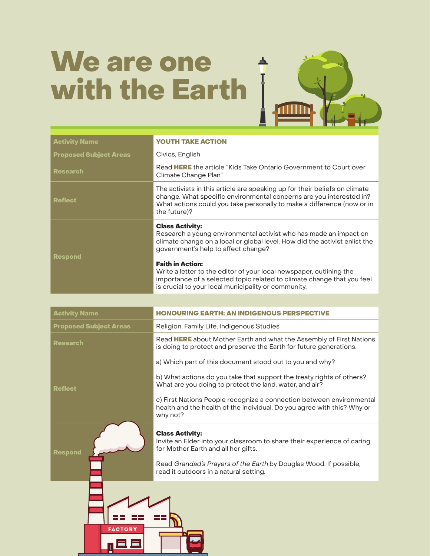# We are one with the Earth |



| <b>Activity Name</b>          | <b>YOUTH TAKE ACTION</b>                                                                                                                                                                                                                    |
|-------------------------------|---------------------------------------------------------------------------------------------------------------------------------------------------------------------------------------------------------------------------------------------|
| <b>Proposed Subject Areas</b> | Civics, English                                                                                                                                                                                                                             |
| <b>Research</b>               | Read HERE the article "Kids Take Ontario Government to Court over<br>Climate Change Plan"                                                                                                                                                   |
| <b>Reflect</b>                | The activists in this article are speaking up for their beliefs on climate<br>change. What specific environmental concerns are you interested in?<br>What actions could you take personally to make a difference (now or in<br>the future)? |
| <b>Respond</b>                | <b>Class Activity:</b><br>Research a young environmental activist who has made an impact on<br>climate change on a local or global level. How did the activist enlist the<br>government's help to affect change?                            |
|                               | <b>Faith in Action:</b><br>Write a letter to the editor of your local newspaper, outlining the<br>importance of a selected topic related to climate change that you feel<br>is crucial to your local municipality or community.             |

| <b>Activity Name</b>          | 'H: AN INDIGENOUS PERSP                                                                                                                                                                                                                                                                                                                                     |
|-------------------------------|-------------------------------------------------------------------------------------------------------------------------------------------------------------------------------------------------------------------------------------------------------------------------------------------------------------------------------------------------------------|
| <b>Proposed Subject Areas</b> | Religion, Family Life, Indigenous Studies                                                                                                                                                                                                                                                                                                                   |
| <b>Research</b>               | Read HERE about Mother Earth and what the Assembly of First Nations<br>is doing to protect and preserve the Earth for future generations.                                                                                                                                                                                                                   |
| <b>Reflect</b>                | a) Which part of this document stood out to you and why?<br>b) What actions do you take that support the treaty rights of others?<br>What are you doing to protect the land, water, and air?<br>c) First Nations People recognize a connection between environmental<br>health and the health of the individual. Do you agree with this? Why or<br>why not? |
| Respond                       | <b>Class Activity:</b><br>Invite an Elder into your classroom to share their experience of caring<br>for Mother Earth and all her gifts.<br>Read Grandad's Prayers of the Earth by Douglas Wood. If possible,<br>read it outdoors in a natural setting.                                                                                                     |
| <b>FACTORY</b>                |                                                                                                                                                                                                                                                                                                                                                             |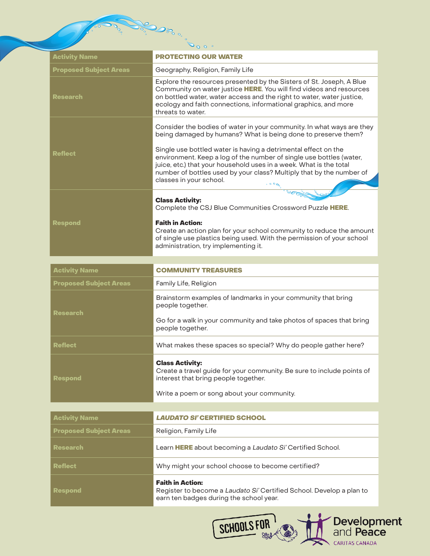|                               | $\sim$ 0 0 $\sim$                                                                                                                                                                                                                                                                                                                                                                                                                                                       |
|-------------------------------|-------------------------------------------------------------------------------------------------------------------------------------------------------------------------------------------------------------------------------------------------------------------------------------------------------------------------------------------------------------------------------------------------------------------------------------------------------------------------|
| <b>Activity Name</b>          | <b>PROTECTING OUR WATER</b>                                                                                                                                                                                                                                                                                                                                                                                                                                             |
| <b>Proposed Subject Areas</b> | Geography, Religion, Family Life                                                                                                                                                                                                                                                                                                                                                                                                                                        |
| <b>Research</b>               | Explore the resources presented by the Sisters of St. Joseph, A Blue<br>Community on water justice HERE. You will find videos and resources<br>on bottled water, water access and the right to water, water justice,<br>ecology and faith connections, informational graphics, and more<br>threats to water.                                                                                                                                                            |
| <b>Reflect</b>                | Consider the bodies of water in your community. In what ways are they<br>being damaged by humans? What is being done to preserve them?<br>Single use bottled water is having a detrimental effect on the<br>environment. Keep a log of the number of single use bottles (water,<br>juice, etc.) that your household uses in a week. What is the total<br>number of bottles used by your class? Multiply that by the number of<br>classes in your school.<br>$\sim 0.00$ |
| <b>Respond</b>                | <b>Class Activity:</b><br>Complete the CSJ Blue Communities Crossword Puzzle HERE.<br><b>Faith in Action:</b><br>Create an action plan for your school community to reduce the amount<br>of single use plastics being used. With the permission of your school<br>administration, try implementing it.                                                                                                                                                                  |
| <b>Activity Name</b>          | <b>COMMUNITY TREASURES</b>                                                                                                                                                                                                                                                                                                                                                                                                                                              |
| <b>Proposed Subject Areas</b> | Family Life, Religion                                                                                                                                                                                                                                                                                                                                                                                                                                                   |
| <b>Research</b>               | Brainstorm examples of landmarks in your community that bring<br>people together.<br>Go for a walk in your community and take photos of spaces that bring<br>people together.                                                                                                                                                                                                                                                                                           |
| <b>Reflect</b>                | What makes these spaces so special? Why do people gather here?                                                                                                                                                                                                                                                                                                                                                                                                          |
| <b>Respond</b>                | <b>Class Activity:</b><br>Create a travel guide for your community. Be sure to include points of<br>interest that bring people together.<br>Write a poem or song about your community.                                                                                                                                                                                                                                                                                  |
| <b>Activity Name</b>          | <b>LAUDATO SI' CERTIFIED SCHOOL</b>                                                                                                                                                                                                                                                                                                                                                                                                                                     |
| <b>Proposed Subject Areas</b> | Religion, Family Life                                                                                                                                                                                                                                                                                                                                                                                                                                                   |
| Research                      | Learn HERE about becoming a Laudato Si' Certified School.                                                                                                                                                                                                                                                                                                                                                                                                               |
| <b>Reflect</b>                | Why might your school choose to become certified?                                                                                                                                                                                                                                                                                                                                                                                                                       |
| <b>Respond</b>                | <b>Faith in Action:</b><br>Register to become a Laudato Si' Certified School. Develop a plan to<br>earn ten badges during the school year.                                                                                                                                                                                                                                                                                                                              |
|                               | <b>Development</b><br>and <b>Peace</b><br>SCHOOLS FOR<br>CARITAS CANADA                                                                                                                                                                                                                                                                                                                                                                                                 |

**CONSTRUCTION** 

**Police**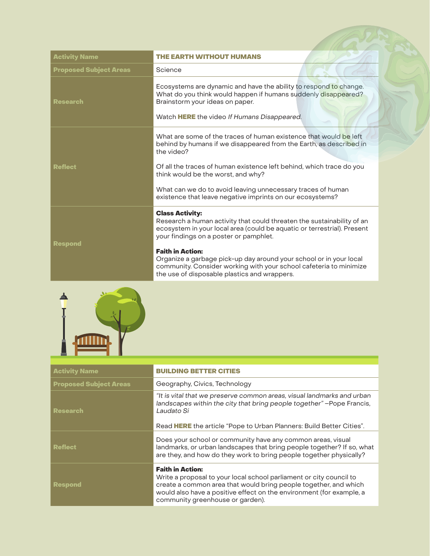| <b>Activity Name</b>          | THE EARTH WITHOUT HUMANS                                                                                                                                                                                                                                                                                                                                                                                                                     |
|-------------------------------|----------------------------------------------------------------------------------------------------------------------------------------------------------------------------------------------------------------------------------------------------------------------------------------------------------------------------------------------------------------------------------------------------------------------------------------------|
| <b>Proposed Subject Areas</b> | Science                                                                                                                                                                                                                                                                                                                                                                                                                                      |
| <b>Research</b>               | Ecosystems are dynamic and have the ability to respond to change.<br>What do you think would happen if humans suddenly disappeared?<br>Brainstorm your ideas on paper.<br>Watch HERE the video If Humans Disappeared.                                                                                                                                                                                                                        |
| <b>Reflect</b>                | What are some of the traces of human existence that would be left<br>behind by humans if we disappeared from the Earth, as described in<br>the video?<br>Of all the traces of human existence left behind, which trace do you<br>think would be the worst, and why?<br>What can we do to avoid leaving unnecessary traces of human<br>existence that leave negative imprints on our ecosystems?                                              |
| <b>Respond</b>                | <b>Class Activity:</b><br>Research a human activity that could threaten the sustainability of an<br>ecosystem in your local area (could be aquatic or terrestrial). Present<br>your findings on a poster or pamphlet.<br><b>Faith in Action:</b><br>Organize a garbage pick-up day around your school or in your local<br>community. Consider working with your school cafeteria to minimize<br>the use of disposable plastics and wrappers. |



| <b>Activity Name</b>          | <b>BUILDING BETTER CITIES</b>                                                                                                                                                                                                                                                  |
|-------------------------------|--------------------------------------------------------------------------------------------------------------------------------------------------------------------------------------------------------------------------------------------------------------------------------|
| <b>Proposed Subject Areas</b> | Geography, Civics, Technology                                                                                                                                                                                                                                                  |
| <b>Research</b>               | "It is vital that we preserve common areas, visual landmarks and urban<br>landscapes within the city that bring people together" - Pope Francis,<br>Laudato Si<br>Read HERE the article "Pope to Urban Planners: Build Better Cities".                                         |
| <b>Reflect</b>                | Does your school or community have any common areas, visual<br>landmarks, or urban landscapes that bring people together? If so, what<br>are they, and how do they work to bring people together physically?                                                                   |
| <b>Respond</b>                | <b>Faith in Action:</b><br>Write a proposal to your local school parliament or city council to<br>create a common area that would bring people together, and which<br>would also have a positive effect on the environment (for example, a<br>community greenhouse or garden). |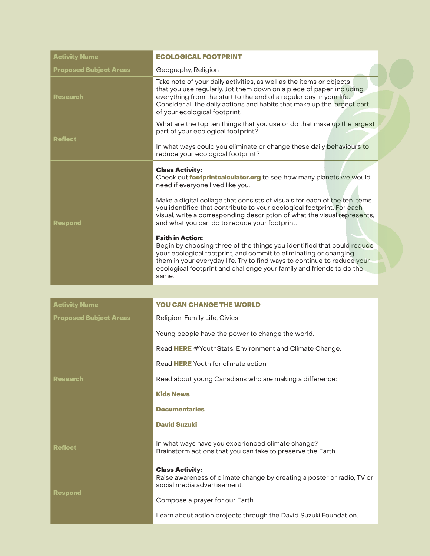| <b>Activity Name</b>          | <b>ECOLOGICAL FOOTPRINT</b>                                                                                                                                                                                                                                                                                                                                                                                                                                                                                                                                                                                                                                                                                                                                     |
|-------------------------------|-----------------------------------------------------------------------------------------------------------------------------------------------------------------------------------------------------------------------------------------------------------------------------------------------------------------------------------------------------------------------------------------------------------------------------------------------------------------------------------------------------------------------------------------------------------------------------------------------------------------------------------------------------------------------------------------------------------------------------------------------------------------|
| <b>Proposed Subject Areas</b> | Geography, Religion                                                                                                                                                                                                                                                                                                                                                                                                                                                                                                                                                                                                                                                                                                                                             |
| <b>Research</b>               | Take note of your daily activities, as well as the items or objects<br>that you use regularly. Jot them down on a piece of paper, including<br>everything from the start to the end of a regular day in your life.<br>Consider all the daily actions and habits that make up the largest part<br>of your ecological footprint.                                                                                                                                                                                                                                                                                                                                                                                                                                  |
| <b>Reflect</b>                | What are the top ten things that you use or do that make up the largest<br>part of your ecological footprint?<br>In what ways could you eliminate or change these daily behaviours to<br>reduce your ecological footprint?                                                                                                                                                                                                                                                                                                                                                                                                                                                                                                                                      |
| <b>Respond</b>                | <b>Class Activity:</b><br>Check out <b>footprintcalculator.org</b> to see how many planets we would<br>need if everyone lived like you.<br>Make a digital collage that consists of visuals for each of the ten items<br>you identified that contribute to your ecological footprint. For each<br>visual, write a corresponding description of what the visual represents,<br>and what you can do to reduce your footprint.<br><b>Faith in Action:</b><br>Begin by choosing three of the things you identified that could reduce<br>your ecological footprint, and commit to eliminating or changing<br>them in your everyday life. Try to find ways to continue to reduce your<br>ecological footprint and challenge your family and friends to do the<br>same. |

| <b>Activity Name</b>          | <b>YOU CAN CHANGE THE WORLD</b>                                                                                                 |
|-------------------------------|---------------------------------------------------------------------------------------------------------------------------------|
| <b>Proposed Subject Areas</b> | Religion, Family Life, Civics                                                                                                   |
| <b>Research</b>               | Young people have the power to change the world.                                                                                |
|                               | Read HERE #YouthStats: Environment and Climate Change.                                                                          |
|                               | Read HERE Youth for climate action.                                                                                             |
|                               | Read about young Canadians who are making a difference:                                                                         |
|                               | <b>Kids News</b>                                                                                                                |
|                               | <b>Documentaries</b>                                                                                                            |
|                               | <b>David Suzuki</b>                                                                                                             |
| <b>Reflect</b>                | In what ways have you experienced climate change?<br>Brainstorm actions that you can take to preserve the Earth.                |
| <b>Respond</b>                | <b>Class Activity:</b><br>Raise awareness of climate change by creating a poster or radio, TV or<br>social media advertisement. |
|                               | Compose a prayer for our Earth.                                                                                                 |
|                               | Learn about action projects through the David Suzuki Foundation.                                                                |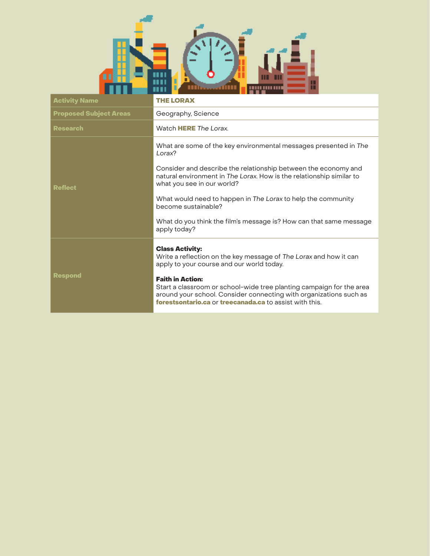

| <b>Activity Name</b>          | <b>THE LORAX</b>                                                                                                                                                                                                                                                                                                                                                                                                                |
|-------------------------------|---------------------------------------------------------------------------------------------------------------------------------------------------------------------------------------------------------------------------------------------------------------------------------------------------------------------------------------------------------------------------------------------------------------------------------|
| <b>Proposed Subject Areas</b> | Geography, Science                                                                                                                                                                                                                                                                                                                                                                                                              |
| <b>Research</b>               | Watch HERE The Lorax.                                                                                                                                                                                                                                                                                                                                                                                                           |
| <b>Reflect</b>                | What are some of the key environmental messages presented in The<br>Lorax?<br>Consider and describe the relationship between the economy and<br>natural environment in The Lorax. How is the relationship similar to<br>what you see in our world?<br>What would need to happen in The Lorax to help the community<br>become sustainable?<br>What do you think the film's message is? How can that same message<br>apply today? |
| <b>Respond</b>                | <b>Class Activity:</b><br>Write a reflection on the key message of The Lorax and how it can<br>apply to your course and our world today.<br><b>Faith in Action:</b><br>Start a classroom or school-wide tree planting campaign for the area<br>around your school. Consider connecting with organizations such as<br>forestsontario.ca or treecanada.ca to assist with this.                                                    |